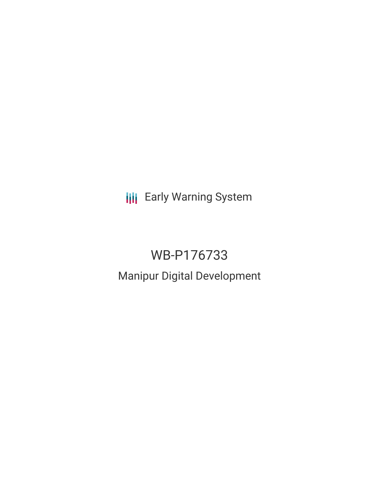**III** Early Warning System

# WB-P176733 Manipur Digital Development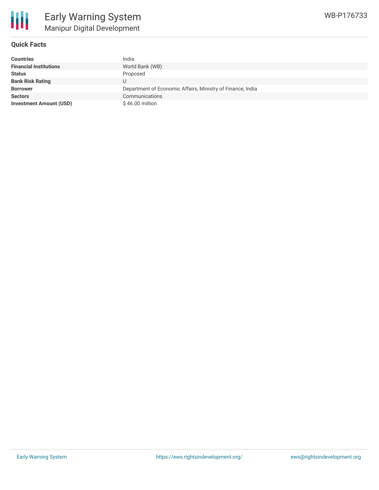

# **Quick Facts**

| <b>Countries</b>               | India                                                      |
|--------------------------------|------------------------------------------------------------|
| <b>Financial Institutions</b>  | World Bank (WB)                                            |
| <b>Status</b>                  | Proposed                                                   |
| <b>Bank Risk Rating</b>        |                                                            |
| <b>Borrower</b>                | Department of Economic Affairs, Ministry of Finance, India |
| <b>Sectors</b>                 | Communications                                             |
| <b>Investment Amount (USD)</b> | $$46.00$ million                                           |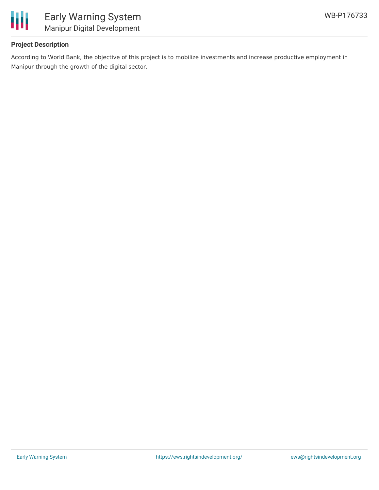

# **Project Description**

According to World Bank, the objective of this project is to mobilize investments and increase productive employment in Manipur through the growth of the digital sector.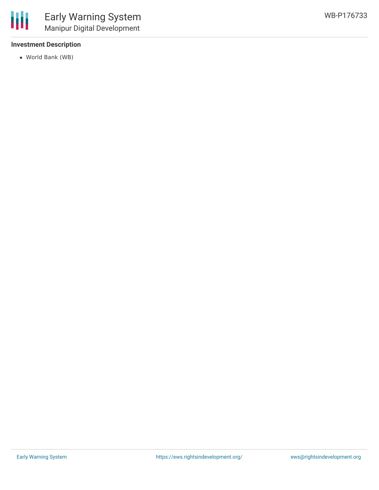# **Investment Description**

World Bank (WB)